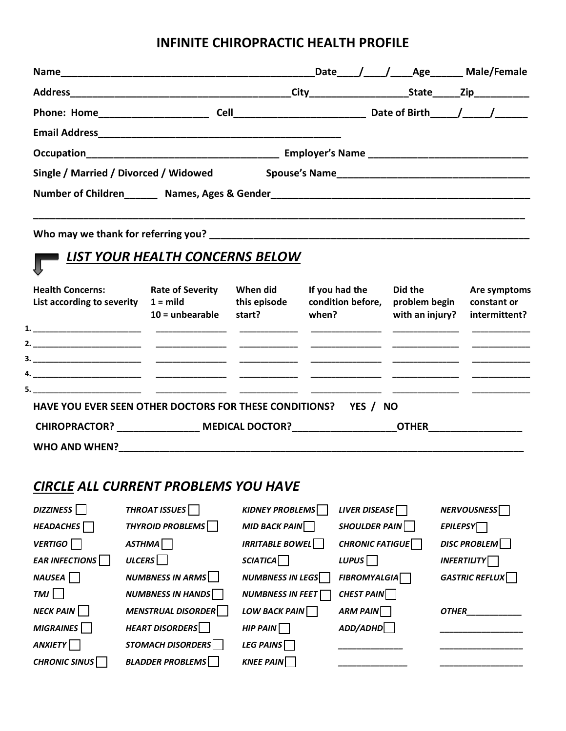# **INFINITE CHIROPRACTIC HEALTH PROFILE**

|                                                                                                                                                                                                                                |  |  |  | Date / / Age Male/Female |
|--------------------------------------------------------------------------------------------------------------------------------------------------------------------------------------------------------------------------------|--|--|--|--------------------------|
|                                                                                                                                                                                                                                |  |  |  | State Zip                |
| Phone: Home____________________                                                                                                                                                                                                |  |  |  |                          |
|                                                                                                                                                                                                                                |  |  |  |                          |
|                                                                                                                                                                                                                                |  |  |  |                          |
| Single / Married / Divorced / Widowed                                                                                                                                                                                          |  |  |  |                          |
| Number of Children Mames, Ages & Gender Manuscript Ages & Gender Manuscript Ages & Gender Manuscript Ages & Gender Manuscript Ages & Gender Manuscript Ages & Gender Manuscript Ages & Gender Manuscript Ages & Gender Manuscr |  |  |  |                          |
|                                                                                                                                                                                                                                |  |  |  |                          |

**Who may we thank for referring you? \_\_\_\_\_\_\_\_\_\_\_\_\_\_\_\_\_\_\_\_\_\_\_\_\_\_\_\_\_\_\_\_\_\_\_\_\_\_\_\_\_\_\_\_\_\_\_\_\_\_\_\_\_\_\_\_\_\_**

# *LIST YOUR HEALTH CONCERNS BELOW*

| <b>Health Concerns:</b><br>List according to severity                                             | <b>Rate of Severity</b><br>$1 = \text{mild}$<br>$10 =$ unbearable | When did<br>this episode<br>start? | If you had the<br>condition before,<br>when? | Did the<br>problem begin<br>with an injury? | Are symptoms<br>constant or<br>intermittent? |
|---------------------------------------------------------------------------------------------------|-------------------------------------------------------------------|------------------------------------|----------------------------------------------|---------------------------------------------|----------------------------------------------|
|                                                                                                   |                                                                   |                                    |                                              |                                             |                                              |
|                                                                                                   |                                                                   |                                    |                                              |                                             |                                              |
|                                                                                                   |                                                                   |                                    |                                              |                                             |                                              |
|                                                                                                   |                                                                   |                                    |                                              |                                             |                                              |
|                                                                                                   |                                                                   |                                    |                                              |                                             |                                              |
| HAVE YOU EVER SEEN OTHER DOCTORS FOR THESE CONDITIONS?                                            |                                                                   |                                    | YES / NO                                     |                                             |                                              |
| CHIROPRACTOR?                               MEDICAL DOCTOR?                                 OTHER |                                                                   |                                    |                                              |                                             |                                              |
| <b>WHO AND WHEN?</b>                                                                              |                                                                   |                                    |                                              |                                             |                                              |

# *CIRCLE ALL CURRENT PROBLEMS YOU HAVE*

| DIZZINESS <sup>I</sup> | THROAT ISSUES <sup>T</sup> | <b>KIDNEY PROBLEMS</b>  | LIVER DISEASE       | <b>NERVOUSNESS</b>    |
|------------------------|----------------------------|-------------------------|---------------------|-----------------------|
| HEADACHES              | <b>THYROID PROBLEMS</b>    | <b>MID BACK PAIN</b>    | SHOULDER PAIN       | <b>EPILEPSY</b>       |
| <b>VERTIGO</b>         | <b>ASTHMA</b>              | <b>IRRITABLE BOWEL</b>  | CHRONIC FATIGUE     | DISC PROBLEM          |
| <b>EAR INFECTIONS</b>  | <b>ULCERS</b>              | SCIATICA                | LUPUS <sup></sup>   | <b>INFERTILITY</b>    |
| NAUSEA                 | <b>NUMBNESS IN ARMS</b>    | <b>NUMBNESS IN LEGS</b> | <b>FIBROMYALGIA</b> | <b>GASTRIC REFLUX</b> |
| TMI                    | <b>NUMBNESS IN HANDS</b>   | <b>NUMBNESS IN FEET</b> | CHEST PAIN          |                       |
| $NECK$ PAIN            | <b>MENSTRUAL DISORDER</b>  | LOW BACK PAIN           | ARM PAIN            | <b>OTHER</b>          |
| <b>MIGRAINES</b>       | <b>HEART DISORDERS</b>     | $HIP$ PAIN              | ADD/ADHD            |                       |
| <b>ANXIETY</b>         | <b>STOMACH DISORDERS</b>   | LEG PAINS $\Box$        |                     |                       |
| <b>CHRONIC SINUS</b>   | <b>BLADDER PROBLEMS</b>    | <b>KNEE PAIN</b>        |                     |                       |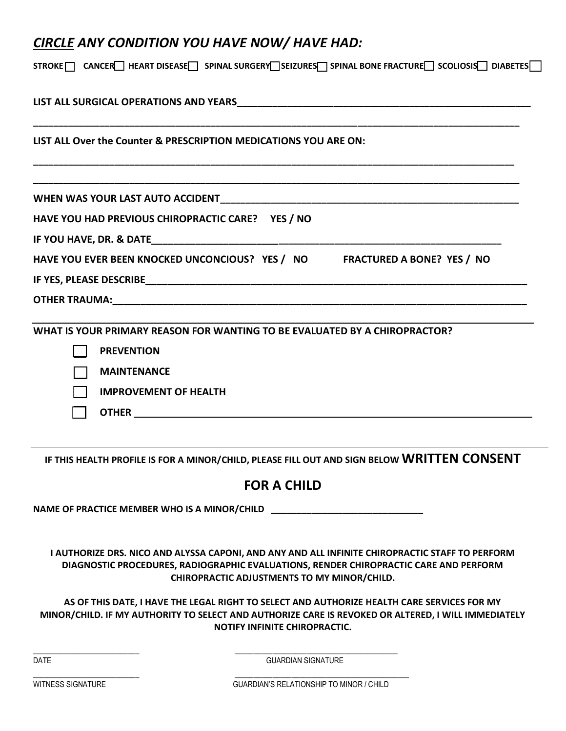# *CIRCLE ANY CONDITION YOU HAVE NOW/ HAVE HAD:*

| STROKE CANCER HEART DISEASE SPINAL SURGERY SEIZURES SPINAL BONE FRACTURE SCOLIOSIS DIABETES |
|---------------------------------------------------------------------------------------------|
|                                                                                             |
| LIST ALL Over the Counter & PRESCRIPTION MEDICATIONS YOU ARE ON:                            |
|                                                                                             |
| HAVE YOU HAD PREVIOUS CHIROPRACTIC CARE? YES / NO                                           |
|                                                                                             |
| HAVE YOU EVER BEEN KNOCKED UNCONCIOUS? YES / NO FRACTURED A BONE? YES / NO                  |
|                                                                                             |
|                                                                                             |
| WHAT IS YOUR PRIMARY REASON FOR WANTING TO BE EVALUATED BY A CHIROPRACTOR?                  |
| <b>PREVENTION</b>                                                                           |
| <b>MAINTENANCE</b>                                                                          |
| <b>IMPROVEMENT OF HEALTH</b>                                                                |
|                                                                                             |
|                                                                                             |

**IF THIS HEALTH PROFILE IS FOR A MINOR/CHILD, PLEASE FILL OUT AND SIGN BELOW WRITTEN CONSENT** 

# **FOR A CHILD**

**NAME OF PRACTICE MEMBER WHO IS A MINOR/CHILD \_\_\_\_\_\_\_\_\_\_\_\_\_\_\_\_\_\_\_\_\_\_\_\_\_\_\_\_\_\_**

 $\overline{\phantom{a}}$  ,  $\overline{\phantom{a}}$  ,  $\overline{\phantom{a}}$  ,  $\overline{\phantom{a}}$  ,  $\overline{\phantom{a}}$  ,  $\overline{\phantom{a}}$  ,  $\overline{\phantom{a}}$  ,  $\overline{\phantom{a}}$  ,  $\overline{\phantom{a}}$  ,  $\overline{\phantom{a}}$  ,  $\overline{\phantom{a}}$  ,  $\overline{\phantom{a}}$  ,  $\overline{\phantom{a}}$  ,  $\overline{\phantom{a}}$  ,  $\overline{\phantom{a}}$  ,  $\overline{\phantom{a}}$ 

\_\_\_\_\_\_\_\_\_\_\_\_\_\_\_\_\_\_\_\_\_\_\_\_\_\_\_\_ \_\_\_\_\_\_\_\_\_\_\_\_\_\_\_\_\_\_\_\_\_\_\_\_\_\_\_\_\_\_\_\_\_\_\_\_\_\_\_\_\_\_\_\_\_\_

**I AUTHORIZE DRS. NICO AND ALYSSA CAPONI, AND ANY AND ALL INFINITE CHIROPRACTIC STAFF TO PERFORM DIAGNOSTIC PROCEDURES, RADIOGRAPHIC EVALUATIONS, RENDER CHIROPRACTIC CARE AND PERFORM CHIROPRACTIC ADJUSTMENTS TO MY MINOR/CHILD.**

**AS OF THIS DATE, I HAVE THE LEGAL RIGHT TO SELECT AND AUTHORIZE HEALTH CARE SERVICES FOR MY MINOR/CHILD. IF MY AUTHORITY TO SELECT AND AUTHORIZE CARE IS REVOKED OR ALTERED, I WILL IMMEDIATELY NOTIFY INFINITE CHIROPRACTIC.**

DATE GUARDIAN SIGNATURE

WITNESS SIGNATURE GUARDIAN'S RELATIONSHIP TO MINOR / CHILD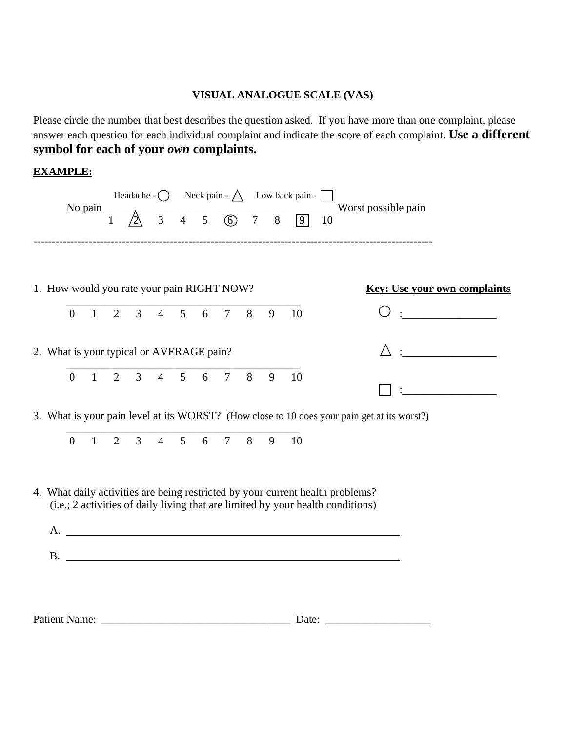### **VISUAL ANALOGUE SCALE (VAS)**

Please circle the number that best describes the question asked. If you have more than one complaint, please answer each question for each individual complaint and indicate the score of each complaint. **Use a different symbol for each of your** *own* **complaints.**

### **EXAMPLE:**

|                                            |                |                |                |                |                |             |                |   |   | Headache - $\bigcirc$ Neck pain - $\bigwedge$ Low back pain - |                                                                                                                                                                                                                                                                                                 |
|--------------------------------------------|----------------|----------------|----------------|----------------|----------------|-------------|----------------|---|---|---------------------------------------------------------------|-------------------------------------------------------------------------------------------------------------------------------------------------------------------------------------------------------------------------------------------------------------------------------------------------|
|                                            | No pain $\_\_$ | 1              |                |                |                |             |                |   |   | $3$ 4 5 6 7 8 9                                               | Worst possible pain<br>10                                                                                                                                                                                                                                                                       |
| 1. How would you rate your pain RIGHT NOW? |                |                |                |                |                |             |                |   |   |                                                               | <b>Key: Use your own complaints</b>                                                                                                                                                                                                                                                             |
| $\overline{0}$                             | $\mathbf{1}$   | 2              | $\mathfrak{Z}$ | $\overline{4}$ | 5 <sup>5</sup> | 6           | $\overline{7}$ | 8 | 9 | 10                                                            |                                                                                                                                                                                                                                                                                                 |
| 2. What is your typical or AVERAGE pain?   |                |                |                |                |                |             |                |   |   |                                                               | $\frac{1}{2}$ . The contract of $\frac{1}{2}$ , $\frac{1}{2}$ , $\frac{1}{2}$ , $\frac{1}{2}$ , $\frac{1}{2}$ , $\frac{1}{2}$ , $\frac{1}{2}$ , $\frac{1}{2}$ , $\frac{1}{2}$ , $\frac{1}{2}$ , $\frac{1}{2}$ , $\frac{1}{2}$ , $\frac{1}{2}$ , $\frac{1}{2}$ , $\frac{1}{2}$ , $\frac{1}{2}$ , |
| $\overline{0}$                             | $\mathbf{1}$   | $\overline{2}$ | $\overline{3}$ | $\overline{4}$ | 5 <sup>5</sup> | 6           | $\overline{7}$ | 8 | 9 | 10                                                            |                                                                                                                                                                                                                                                                                                 |
|                                            |                |                |                |                |                |             |                |   |   |                                                               | 3. What is your pain level at its WORST? (How close to 10 does your pain get at its worst?)                                                                                                                                                                                                     |
| $\overline{0}$                             | $\mathbf{1}$   | $\overline{2}$ | $\overline{3}$ | $\overline{4}$ |                | $5\qquad 6$ | 7 8            |   | 9 | - 10                                                          |                                                                                                                                                                                                                                                                                                 |
| A.                                         |                |                |                |                |                |             |                |   |   |                                                               | 4. What daily activities are being restricted by your current health problems?<br>(i.e.; 2 activities of daily living that are limited by your health conditions)<br><u> 2000 - Andrea Andrewski, politik američki politik († 18. února 1900)</u>                                               |
|                                            |                |                |                |                |                |             |                |   |   |                                                               |                                                                                                                                                                                                                                                                                                 |
|                                            |                |                |                |                |                |             |                |   |   |                                                               |                                                                                                                                                                                                                                                                                                 |
| <b>Patient Name:</b>                       |                |                |                |                |                |             |                |   |   | Date:                                                         |                                                                                                                                                                                                                                                                                                 |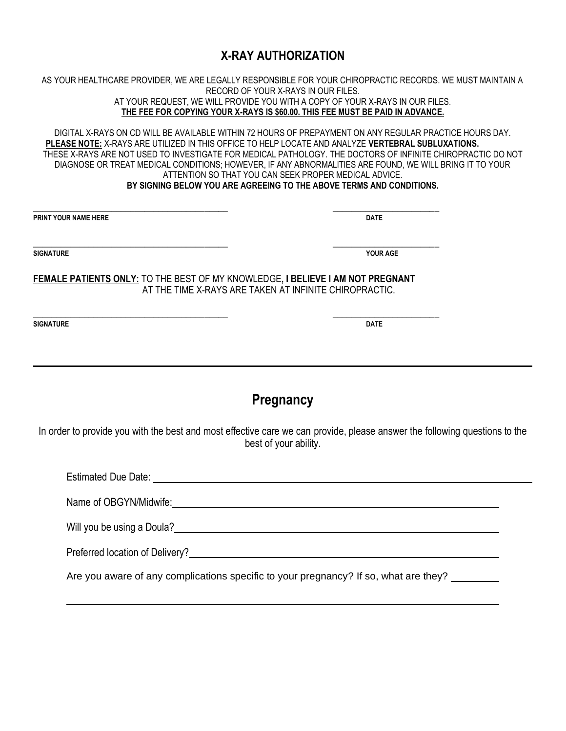## **X-RAY AUTHORIZATION**

AS YOUR HEALTHCARE PROVIDER, WE ARE LEGALLY RESPONSIBLE FOR YOUR CHIROPRACTIC RECORDS. WE MUST MAINTAIN A RECORD OF YOUR X-RAYS IN OUR FILES. AT YOUR REQUEST, WE WILL PROVIDE YOU WITH A COPY OF YOUR X-RAYS IN OUR FILES. **THE FEE FOR COPYING YOUR X-RAYS IS \$60.00. THIS FEE MUST BE PAID IN ADVANCE.**

DIGITAL X-RAYS ON CD WILL BE AVAILABLE WITHIN 72 HOURS OF PREPAYMENT ON ANY REGULAR PRACTICE HOURS DAY. **PLEASE NOTE:** X-RAYS ARE UTILIZED IN THIS OFFICE TO HELP LOCATE AND ANALYZE **VERTEBRAL SUBLUXATIONS.**  THESE X-RAYS ARE NOT USED TO INVESTIGATE FOR MEDICAL PATHOLOGY. THE DOCTORS OF INFINITE CHIROPRACTIC DO NOT DIAGNOSE OR TREAT MEDICAL CONDITIONS; HOWEVER, IF ANY ABNORMALITIES ARE FOUND, WE WILL BRING IT TO YOUR ATTENTION SO THAT YOU CAN SEEK PROPER MEDICAL ADVICE. **BY SIGNING BELOW YOU ARE AGREEING TO THE ABOVE TERMS AND CONDITIONS.**

\_\_\_\_\_\_\_\_\_\_\_\_\_\_\_\_\_\_\_\_\_\_\_\_\_\_\_\_\_\_\_\_\_\_\_\_\_\_\_\_\_\_ \_\_\_\_\_\_\_\_\_\_\_\_\_\_\_\_\_\_\_\_\_\_\_ **PRINT YOUR NAME HERE DATE**

**SIGNATURE YOUR AGE**

\_\_\_\_\_\_\_\_\_\_\_\_\_\_\_\_\_\_\_\_\_\_\_\_\_\_\_\_\_\_\_\_\_\_\_\_\_\_\_\_\_\_ \_\_\_\_\_\_\_\_\_\_\_\_\_\_\_\_\_\_\_\_\_\_\_

**FEMALE PATIENTS ONLY:** TO THE BEST OF MY KNOWLEDGE**, I BELIEVE I AM NOT PREGNANT** AT THE TIME X-RAYS ARE TAKEN AT INFINITE CHIROPRACTIC.

**SIGNATURE DATE**

**Pregnancy**

In order to provide you with the best and most effective care we can provide, please answer the following questions to the best of your ability.

Estimated Due Date: **Extinction** Date: **Extinction** Department of  $\mathbb{R}^n$ Name of OBGYN/Midwife: example of OBGYN/Midwife: Will you be using a Doula?<br>
<u>
Will you be using a Doula?</u> Preferred location of Delivery?

Are you aware of any complications specific to your pregnancy? If so, what are they?

\_\_\_\_\_\_\_\_\_\_\_\_\_\_\_\_\_\_\_\_\_\_\_\_\_\_\_\_\_\_\_\_\_\_\_\_\_\_\_\_\_\_ \_\_\_\_\_\_\_\_\_\_\_\_\_\_\_\_\_\_\_\_\_\_\_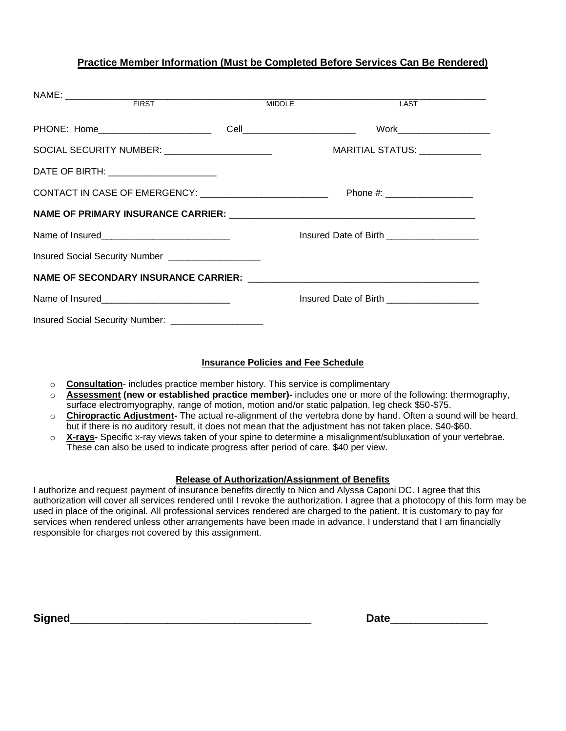#### **Practice Member Information (Must be Completed Before Services Can Be Rendered)**

|                                                                                                                                                                  | <b>MIDDLE</b> | LAST                                        |  |
|------------------------------------------------------------------------------------------------------------------------------------------------------------------|---------------|---------------------------------------------|--|
|                                                                                                                                                                  |               | Work__________________________              |  |
|                                                                                                                                                                  |               | MARITIAL STATUS: ____________               |  |
| DATE OF BIRTH: _______________________                                                                                                                           |               |                                             |  |
| CONTACT IN CASE OF EMERGENCY: ____________________________                                                                                                       |               | Phone #: ____________________               |  |
|                                                                                                                                                                  |               |                                             |  |
|                                                                                                                                                                  |               | Insured Date of Birth _____________________ |  |
| Insured Social Security Number ___________________                                                                                                               |               |                                             |  |
| NAME OF SECONDARY INSURANCE CARRIER: University Processors and AME OF SECONDARY INSURANCE CARRIER: University Processors and AME OF SECONDARY INSURANCE CARRIER: |               |                                             |  |
|                                                                                                                                                                  |               | Insured Date of Birth ___________________   |  |
| Insured Social Security Number: _____________________                                                                                                            |               |                                             |  |

#### **Insurance Policies and Fee Schedule**

- o **Consultation** includes practice member history. This service is complimentary
- o **Assessment (new or established practice member)-** includes one or more of the following: thermography, surface electromyography, range of motion, motion and/or static palpation, leg check \$50-\$75.
- o **Chiropractic Adjustment-** The actual re-alignment of the vertebra done by hand. Often a sound will be heard, but if there is no auditory result, it does not mean that the adjustment has not taken place. \$40-\$60.
- o **X-rays-** Specific x-ray views taken of your spine to determine a misalignment/subluxation of your vertebrae. These can also be used to indicate progress after period of care. \$40 per view.

#### **Release of Authorization/Assignment of Benefits**

I authorize and request payment of insurance benefits directly to Nico and Alyssa Caponi DC. I agree that this authorization will cover all services rendered until I revoke the authorization. I agree that a photocopy of this form may be used in place of the original. All professional services rendered are charged to the patient. It is customary to pay for services when rendered unless other arrangements have been made in advance. I understand that I am financially responsible for charges not covered by this assignment.

|  | sianed |  |  |
|--|--------|--|--|
|  |        |  |  |

| <b>Signed</b> | __ |
|---------------|----|
|               |    |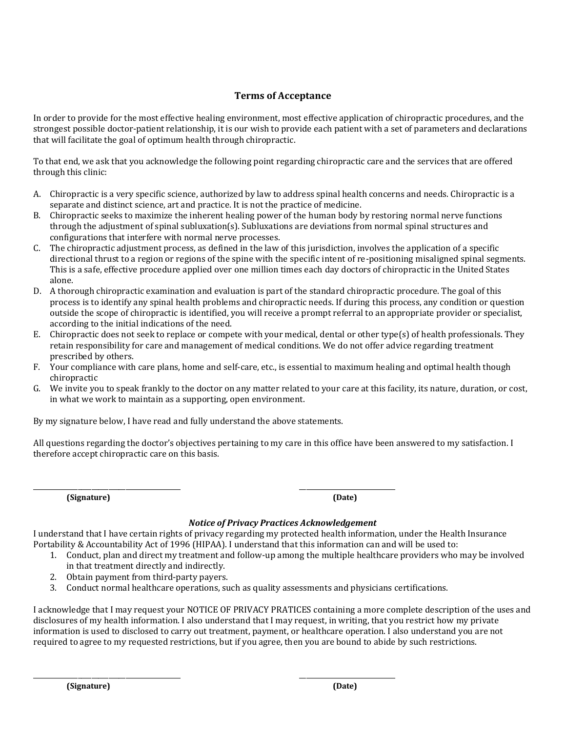#### **Terms of Acceptance**

In order to provide for the most effective healing environment, most effective application of chiropractic procedures, and the strongest possible doctor-patient relationship, it is our wish to provide each patient with a set of parameters and declarations that will facilitate the goal of optimum health through chiropractic.

To that end, we ask that you acknowledge the following point regarding chiropractic care and the services that are offered through this clinic:

- A. Chiropractic is a very specific science, authorized by law to address spinal health concerns and needs. Chiropractic is a separate and distinct science, art and practice. It is not the practice of medicine.
- B. Chiropractic seeks to maximize the inherent healing power of the human body by restoring normal nerve functions through the adjustment of spinal subluxation(s). Subluxations are deviations from normal spinal structures and configurations that interfere with normal nerve processes.
- C. The chiropractic adjustment process, as defined in the law of this jurisdiction, involves the application of a specific directional thrust to a region or regions of the spine with the specific intent of re-positioning misaligned spinal segments. This is a safe, effective procedure applied over one million times each day doctors of chiropractic in the United States alone.
- D. A thorough chiropractic examination and evaluation is part of the standard chiropractic procedure. The goal of this process is to identify any spinal health problems and chiropractic needs. If during this process, any condition or question outside the scope of chiropractic is identified, you will receive a prompt referral to an appropriate provider or specialist, according to the initial indications of the need.
- E. Chiropractic does not seek to replace or compete with your medical, dental or other type(s) of health professionals. They retain responsibility for care and management of medical conditions. We do not offer advice regarding treatment prescribed by others.
- F. Your compliance with care plans, home and self-care, etc., is essential to maximum healing and optimal health though chiropractic
- G. We invite you to speak frankly to the doctor on any matter related to your care at this facility, its nature, duration, or cost, in what we work to maintain as a supporting, open environment.

By my signature below, I have read and fully understand the above statements.

\_\_\_\_\_\_\_\_\_\_\_\_\_\_\_\_\_\_\_\_\_\_\_\_\_\_\_\_\_\_\_\_\_\_\_\_\_\_\_\_\_\_\_ \_\_\_\_\_\_\_\_\_\_\_\_\_\_\_\_\_\_\_\_\_\_\_\_\_\_\_\_

\_\_\_\_\_\_\_\_\_\_\_\_\_\_\_\_\_\_\_\_\_\_\_\_\_\_\_\_\_\_\_\_\_\_\_\_\_\_\_\_\_\_\_ \_\_\_\_\_\_\_\_\_\_\_\_\_\_\_\_\_\_\_\_\_\_\_\_\_\_\_\_

All questions regarding the doctor's objectives pertaining to my care in this office have been answered to my satisfaction. I therefore accept chiropractic care on this basis.

**(Signature) (Date)**

#### *Notice of Privacy Practices Acknowledgement*

I understand that I have certain rights of privacy regarding my protected health information, under the Health Insurance Portability & Accountability Act of 1996 (HIPAA). I understand that this information can and will be used to:

- 1. Conduct, plan and direct my treatment and follow-up among the multiple healthcare providers who may be involved in that treatment directly and indirectly.
- 2. Obtain payment from third-party payers.
- 3. Conduct normal healthcare operations, such as quality assessments and physicians certifications.

I acknowledge that I may request your NOTICE OF PRIVACY PRATICES containing a more complete description of the uses and disclosures of my health information. I also understand that I may request, in writing, that you restrict how my private information is used to disclosed to carry out treatment, payment, or healthcare operation. I also understand you are not required to agree to my requested restrictions, but if you agree, then you are bound to abide by such restrictions.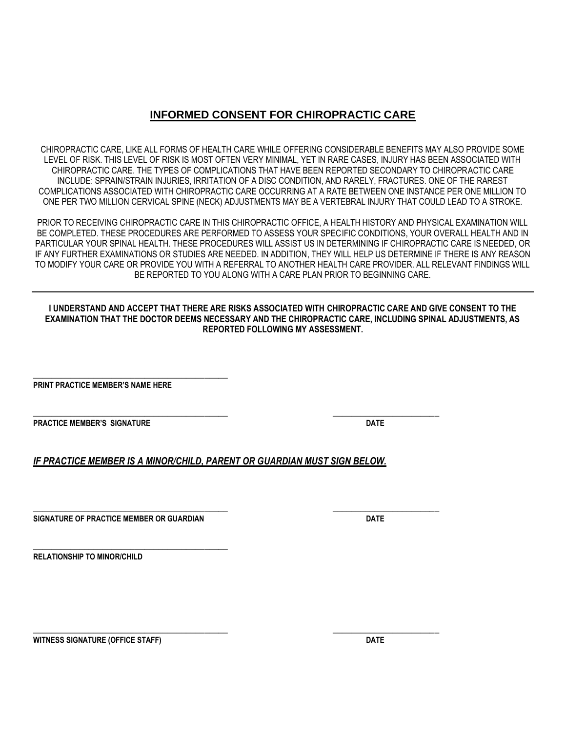### **INFORMED CONSENT FOR CHIROPRACTIC CARE**

CHIROPRACTIC CARE, LIKE ALL FORMS OF HEALTH CARE WHILE OFFERING CONSIDERABLE BENEFITS MAY ALSO PROVIDE SOME LEVEL OF RISK. THIS LEVEL OF RISK IS MOST OFTEN VERY MINIMAL, YET IN RARE CASES, INJURY HAS BEEN ASSOCIATED WITH CHIROPRACTIC CARE. THE TYPES OF COMPLICATIONS THAT HAVE BEEN REPORTED SECONDARY TO CHIROPRACTIC CARE INCLUDE: SPRAIN/STRAIN INJURIES, IRRITATION OF A DISC CONDITION, AND RARELY, FRACTURES. ONE OF THE RAREST COMPLICATIONS ASSOCIATED WITH CHIROPRACTIC CARE OCCURRING AT A RATE BETWEEN ONE INSTANCE PER ONE MILLION TO ONE PER TWO MILLION CERVICAL SPINE (NECK) ADJUSTMENTS MAY BE A VERTEBRAL INJURY THAT COULD LEAD TO A STROKE.

PRIOR TO RECEIVING CHIROPRACTIC CARE IN THIS CHIROPRACTIC OFFICE, A HEALTH HISTORY AND PHYSICAL EXAMINATION WILL BE COMPLETED. THESE PROCEDURES ARE PERFORMED TO ASSESS YOUR SPECIFIC CONDITIONS, YOUR OVERALL HEALTH AND IN PARTICULAR YOUR SPINAL HEALTH. THESE PROCEDURES WILL ASSIST US IN DETERMINING IF CHIROPRACTIC CARE IS NEEDED, OR IF ANY FURTHER EXAMINATIONS OR STUDIES ARE NEEDED. IN ADDITION, THEY WILL HELP US DETERMINE IF THERE IS ANY REASON TO MODIFY YOUR CARE OR PROVIDE YOU WITH A REFERRAL TO ANOTHER HEALTH CARE PROVIDER. ALL RELEVANT FINDINGS WILL BE REPORTED TO YOU ALONG WITH A CARE PLAN PRIOR TO BEGINNING CARE.

**I UNDERSTAND AND ACCEPT THAT THERE ARE RISKS ASSOCIATED WITH CHIROPRACTIC CARE AND GIVE CONSENT TO THE EXAMINATION THAT THE DOCTOR DEEMS NECESSARY AND THE CHIROPRACTIC CARE, INCLUDING SPINAL ADJUSTMENTS, AS REPORTED FOLLOWING MY ASSESSMENT.**

**PRINT PRACTICE MEMBER'S NAME HERE**

\_\_\_\_\_\_\_\_\_\_\_\_\_\_\_\_\_\_\_\_\_\_\_\_\_\_\_\_\_\_\_\_\_\_\_\_\_\_\_\_\_\_

**PRACTICE MEMBER'S SIGNATURE DATE**

*IF PRACTICE MEMBER IS A MINOR/CHILD, PARENT OR GUARDIAN MUST SIGN BELOW.*

\_\_\_\_\_\_\_\_\_\_\_\_\_\_\_\_\_\_\_\_\_\_\_\_\_\_\_\_\_\_\_\_\_\_\_\_\_\_\_\_\_\_ \_\_\_\_\_\_\_\_\_\_\_\_\_\_\_\_\_\_\_\_\_\_\_

**SIGNATURE OF PRACTICE MEMBER OR GUARDIAN DATE**

\_\_\_\_\_\_\_\_\_\_\_\_\_\_\_\_\_\_\_\_\_\_\_\_\_\_\_\_\_\_\_\_\_\_\_\_\_\_\_\_\_\_ **RELATIONSHIP TO MINOR/CHILD**

**WITNESS SIGNATURE (OFFICE STAFF) DATE**

\_\_\_\_\_\_\_\_\_\_\_\_\_\_\_\_\_\_\_\_\_\_\_\_\_\_\_\_\_\_\_\_\_\_\_\_\_\_\_\_\_\_ \_\_\_\_\_\_\_\_\_\_\_\_\_\_\_\_\_\_\_\_\_\_\_

\_\_\_\_\_\_\_\_\_\_\_\_\_\_\_\_\_\_\_\_\_\_\_\_\_\_\_\_\_\_\_\_\_\_\_\_\_\_\_\_\_\_ \_\_\_\_\_\_\_\_\_\_\_\_\_\_\_\_\_\_\_\_\_\_\_